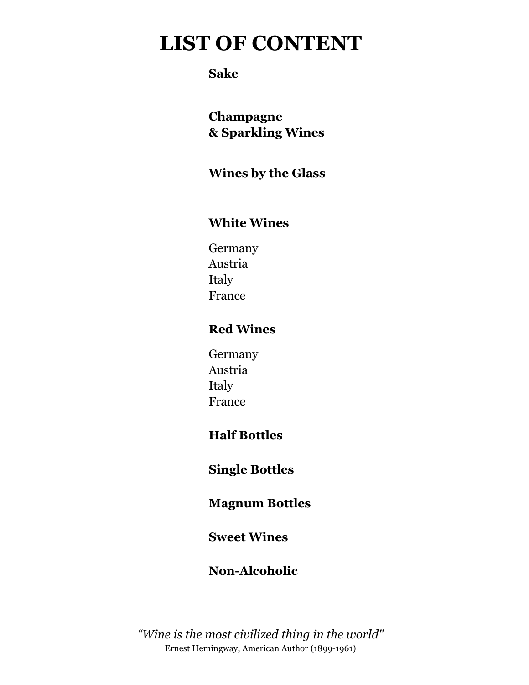## **LIST OF CONTENT**

### **Sake**

**Champagne & Sparkling Wines**

### **Wines by the Glass**

### **White Wines**

Germany Austria Italy France

### **Red Wines**

Germany Austria Italy France

### **Half Bottles**

**Single Bottles**

### **Magnum Bottles**

### **Sweet Wines**

### **Non-Alcoholic**

*"Wine is the most civilized thing in the world"* Ernest Hemingway, American Author (1899-1961)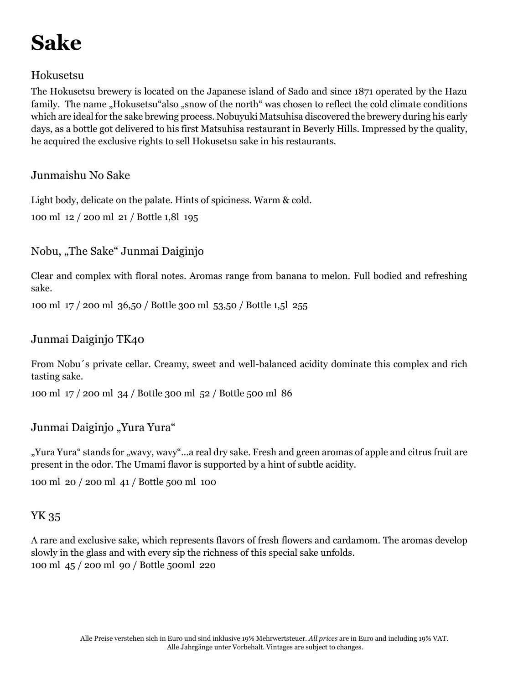# **Sake**

#### Hokusetsu

The Hokusetsu brewery is located on the Japanese island of Sado and since 1871 operated by the Hazu family. The name "Hokusetsu"also "snow of the north" was chosen to reflect the cold climate conditions which are ideal for the sake brewing process. Nobuyuki Matsuhisa discovered the brewery during his early days, as a bottle got delivered to his first Matsuhisa restaurant in Beverly Hills. Impressed by the quality, he acquired the exclusive rights to sell Hokusetsu sake in his restaurants.

#### Junmaishu No Sake

Light body, delicate on the palate. Hints of spiciness. Warm & cold.

100 ml 12 / 200 ml 21 / Bottle 1,8l 195

#### Nobu, "The Sake" Junmai Daiginjo

Clear and complex with floral notes. Aromas range from banana to melon. Full bodied and refreshing sake.

100 ml 17 / 200 ml 36,50 / Bottle 300 ml 53,50 / Bottle 1,5l 255

#### Junmai Daiginjo TK40

From Nobu´s private cellar. Creamy, sweet and well-balanced acidity dominate this complex and rich tasting sake.

100 ml 17 / 200 ml 34 / Bottle 300 ml 52 / Bottle 500 ml 86

Junmai Daiginjo "Yura Yura"

"Yura Yura" stands for "wavy, wavy"...a real dry sake. Fresh and green aromas of apple and citrus fruit are present in the odor. The Umami flavor is supported by a hint of subtle acidity.

100 ml 20 / 200 ml 41 / Bottle 500 ml 100

#### YK 35

A rare and exclusive sake, which represents flavors of fresh flowers and cardamom. The aromas develop slowly in the glass and with every sip the richness of this special sake unfolds. 100 ml 45 / 200 ml 90 / Bottle 500ml 220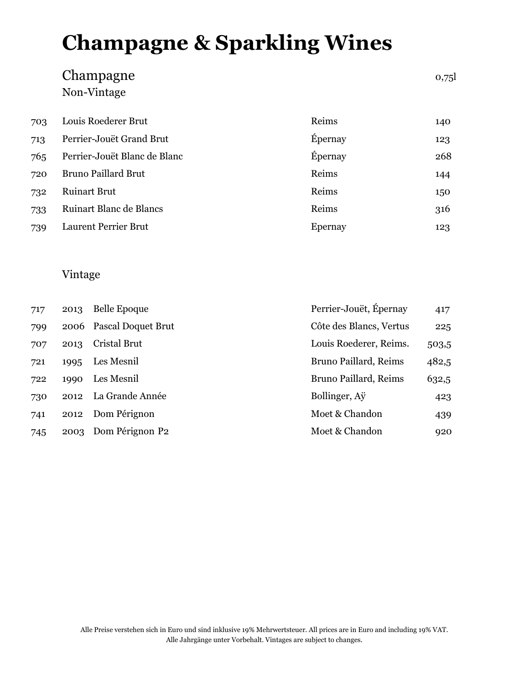# **Champagne & Sparkling Wines**

## $\begin{array}{cccc}\n\textbf{Champagne} & & & \textbf{0.75} \\
\textbf{Champ{}}\end{array}$ Non-Vintage

| 703 | Louis Roederer Brut          | Reims   | 140 |
|-----|------------------------------|---------|-----|
| 713 | Perrier-Jouët Grand Brut     | Épernay | 123 |
| 765 | Perrier-Jouët Blanc de Blanc | Épernay | 268 |
| 720 | <b>Bruno Paillard Brut</b>   | Reims   | 144 |
| 732 | <b>Ruinart Brut</b>          | Reims   | 150 |
| 733 | Ruinart Blanc de Blancs      | Reims   | 316 |
| 739 | Laurent Perrier Brut         | Epernay | 123 |

#### Vintage

| 717 | 2013 | <b>Belle Epoque</b>     | Perrier-Jouët, Épernay  | 417   |
|-----|------|-------------------------|-------------------------|-------|
| 799 |      | 2006 Pascal Doquet Brut | Côte des Blancs, Vertus | 225   |
| 707 | 2013 | Cristal Brut            | Louis Roederer, Reims.  | 503,5 |
| 721 | 1995 | Les Mesnil              | Bruno Paillard, Reims   | 482,5 |
| 722 | 1990 | Les Mesnil              | Bruno Paillard, Reims   | 632,5 |
| 730 | 2012 | La Grande Année         | Bollinger, Ay           | 423   |
| 741 | 2012 | Dom Pérignon            | Moet & Chandon          | 439   |
| 745 | 2003 | Dom Pérignon P2         | Moet & Chandon          | 920   |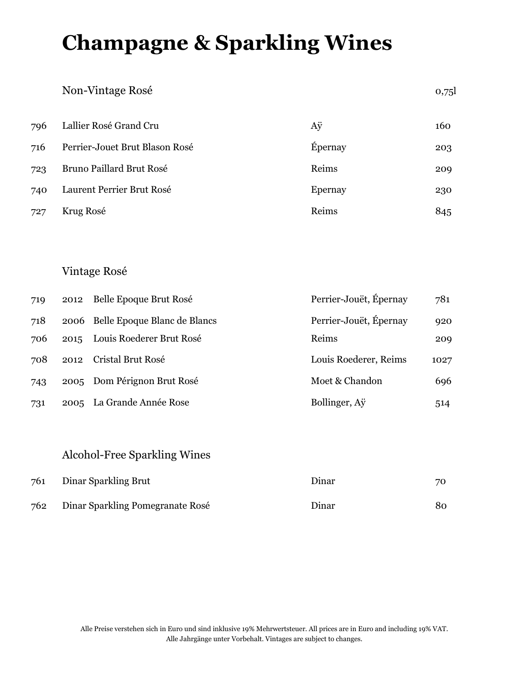## **Champagne & Sparkling Wines**

#### Non-Vintage Rosé 0,75l

| 796 | Lallier Rosé Grand Cru         | Aÿ      | 160 |
|-----|--------------------------------|---------|-----|
| 716 | Perrier-Jouet Brut Blason Rosé | Epernay | 203 |
| 723 | Bruno Paillard Brut Rosé       | Reims   | 209 |
| 740 | Laurent Perrier Brut Rosé      | Epernay | 230 |
| 727 | Krug Rosé                      | Reims   | 845 |

#### Vintage Rosé

| 719 | 2012 | Belle Epoque Brut Rosé            | Perrier-Jouët, Épernay | 781  |
|-----|------|-----------------------------------|------------------------|------|
| 718 |      | 2006 Belle Epoque Blanc de Blancs | Perrier-Jouët, Épernay | 920  |
| 706 | 2015 | Louis Roederer Brut Rosé          | Reims                  | 209  |
| 708 | 2012 | Cristal Brut Rosé                 | Louis Roederer, Reims  | 1027 |
| 743 |      | 2005 Dom Pérignon Brut Rosé       | Moet & Chandon         | 696  |
| 731 | 2005 | La Grande Année Rose              | Bollinger, Ay          | 514  |

### Alcohol-Free Sparkling Wines

| 761 | Dinar Sparkling Brut             | Dinar | 70 |
|-----|----------------------------------|-------|----|
| 762 | Dinar Sparkling Pomegranate Rosé | Dinar | 80 |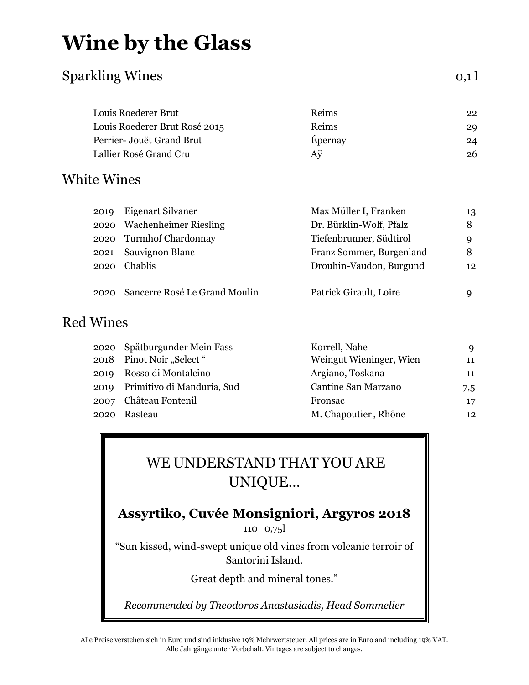## **Wine by the Glass**

### Sparkling Wines 0,1 l

| Louis Roederer Brut           | <b>Reims</b> | 22 |
|-------------------------------|--------------|----|
| Louis Roederer Brut Rosé 2015 | Reims        | 29 |
| Perrier- Jouët Grand Brut     | Épernay      | 24 |
| Lallier Rosé Grand Cru        | Aÿ           | 26 |
|                               |              |    |

### White Wines

| 2019 | Eigenart Silvaner                  | Max Müller I, Franken    | 13 |
|------|------------------------------------|--------------------------|----|
|      | 2020 Wachenheimer Riesling         | Dr. Bürklin-Wolf, Pfalz  | 8  |
|      | 2020 Turmhof Chardonnay            | Tiefenbrunner, Südtirol  | Q  |
| 2021 | Sauvignon Blanc                    | Franz Sommer, Burgenland | 8  |
| 2020 | Chablis                            | Drouhin-Vaudon, Burgund  | 12 |
|      |                                    |                          |    |
|      | 2020 Sancerre Rosé Le Grand Moulin | Patrick Girault, Loire   | a  |

### Red Wines

| 2020 Spätburgunder Mein Fass    | Korrell, Nahe           | 9   |
|---------------------------------|-------------------------|-----|
| 2018 Pinot Noir "Select"        | Weingut Wieninger, Wien | 11  |
| 2019 Rosso di Montalcino        | Argiano, Toskana        | 11  |
| 2019 Primitivo di Manduria, Sud | Cantine San Marzano     | 7,5 |
| 2007 Château Fontenil           | Fronsac                 | 17  |
| 2020 Rasteau                    | M. Chapoutier, Rhône    | 12  |
|                                 |                         |     |

## WE UNDERSTAND THAT YOU ARE UNIQUE…

### **Assyrtiko, Cuvée Monsigniori, Argyros 2018**

110 0,75l

"Sun kissed, wind-swept unique old vines from volcanic terroir of Santorini Island.

Great depth and mineral tones."

*Recommended by Theodoros Anastasiadis, Head Sommelier*

Alle Preise verstehen sich in Euro und sind inklusive 19% Mehrwertsteuer. All prices are in Euro and including 19% VAT. Alle Jahrgänge unter Vorbehalt. Vintages are subject to changes.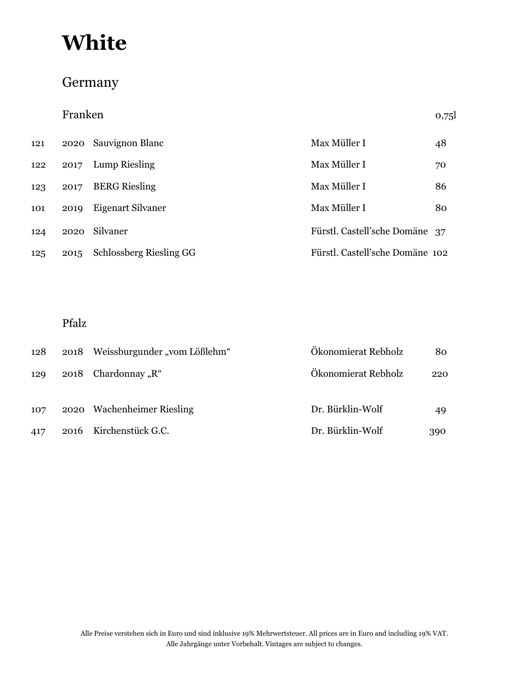### Germany

|     | Franken |                                |                                 | 0,75 |
|-----|---------|--------------------------------|---------------------------------|------|
| 121 | 2020    | Sauvignon Blanc                | Max Müller I                    | 48   |
| 122 | 2017    | <b>Lump Riesling</b>           | Max Müller I                    | 70   |
| 123 | 2017    | <b>BERG</b> Riesling           | Max Müller I                    | 86   |
| 101 | 2019    | Eigenart Silvaner              | Max Müller I                    | 80   |
| 124 | 2020    | Silvaner                       | Fürstl. Castell'sche Domäne 37  |      |
| 125 | 2015    | <b>Schlossberg Riesling GG</b> | Fürstl. Castell'sche Domäne 102 |      |

#### Pfalz

| 128 | 2018 Weissburgunder "vom Lößlehm" | Ökonomierat Rebholz | 80  |
|-----|-----------------------------------|---------------------|-----|
| 129 | 2018 Chardonnay " $R^4$           | Ökonomierat Rebholz | 220 |
|     |                                   |                     |     |
| 107 | 2020 Wachenheimer Riesling        | Dr. Bürklin-Wolf    | 49  |
| 417 | 2016 Kirchenstück G.C.            | Dr. Bürklin-Wolf    | 390 |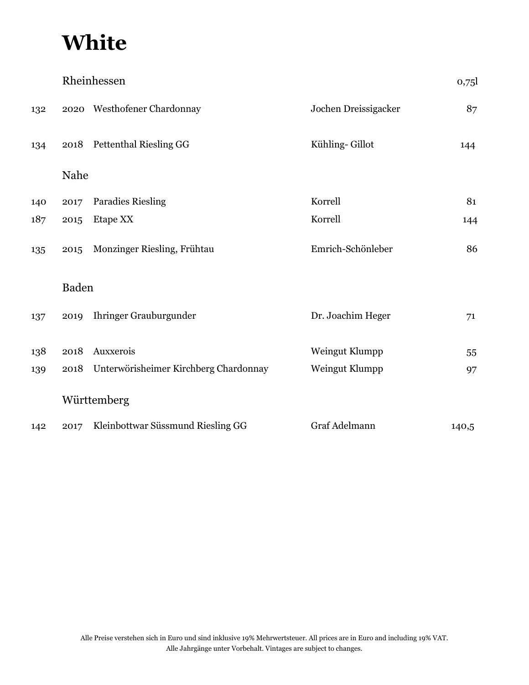|     | Rheinhessen<br>0,75 |                                       |                      |       |
|-----|---------------------|---------------------------------------|----------------------|-------|
| 132 |                     | 2020 Westhofener Chardonnay           | Jochen Dreissigacker | 87    |
| 134 | 2018                | <b>Pettenthal Riesling GG</b>         | Kühling-Gillot       | 144   |
|     | Nahe                |                                       |                      |       |
| 140 | 2017                | <b>Paradies Riesling</b>              | Korrell              | 81    |
| 187 | 2015                | Etape XX                              | Korrell              | 144   |
| 135 | 2015                | Monzinger Riesling, Frühtau           | Emrich-Schönleber    | 86    |
|     | <b>Baden</b>        |                                       |                      |       |
| 137 | 2019                | Ihringer Grauburgunder                | Dr. Joachim Heger    | 71    |
| 138 | 2018                | Auxxerois                             | Weingut Klumpp       | 55    |
| 139 | 2018                | Unterwörisheimer Kirchberg Chardonnay | Weingut Klumpp       | 97    |
|     |                     | Württemberg                           |                      |       |
| 142 | 2017                | Kleinbottwar Süssmund Riesling GG     | Graf Adelmann        | 140,5 |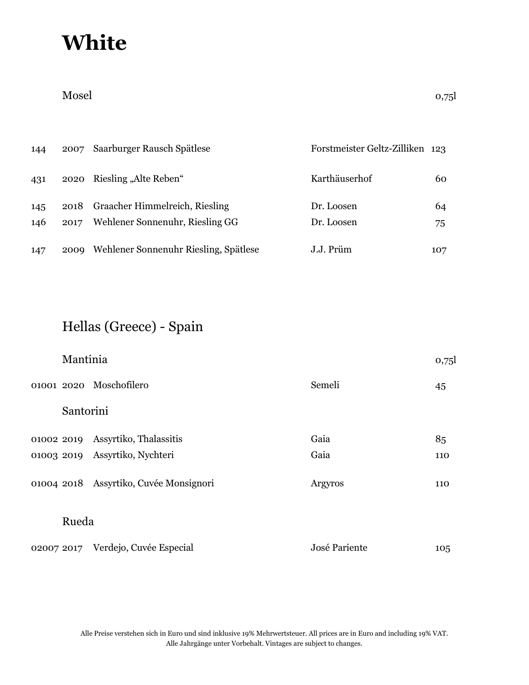| 144 | 2007 | Saarburger Rausch Spätlese            | Forstmeister Geltz-Zilliken 123 |     |
|-----|------|---------------------------------------|---------------------------------|-----|
| 431 | 2020 | Riesling "Alte Reben"                 | Karthäuserhof                   | 60  |
| 145 | 2018 | Graacher Himmelreich, Riesling        | Dr. Loosen                      | 64  |
| 146 | 2017 | Wehlener Sonnenuhr, Riesling GG       | Dr. Loosen                      | 75  |
| 147 | 2009 | Wehlener Sonnenuhr Riesling, Spätlese | J.J. Prüm                       | 107 |

## Hellas (Greece) - Spain

| Mantinia  |                                        |               | 0,75 |  |
|-----------|----------------------------------------|---------------|------|--|
|           | 01001 2020 Moschofilero                | Semeli        | 45   |  |
| Santorini |                                        |               |      |  |
|           | 01002 2019 Assyrtiko, Thalassitis      | Gaia          | 85   |  |
|           | 01003 2019 Assyrtiko, Nychteri         | Gaia          | 110  |  |
|           | 01004 2018 Assyrtiko, Cuvée Monsignori | Argyros       | 110  |  |
| Rueda     |                                        |               |      |  |
|           | 02007 2017 Verdejo, Cuvée Especial     | José Pariente | 105  |  |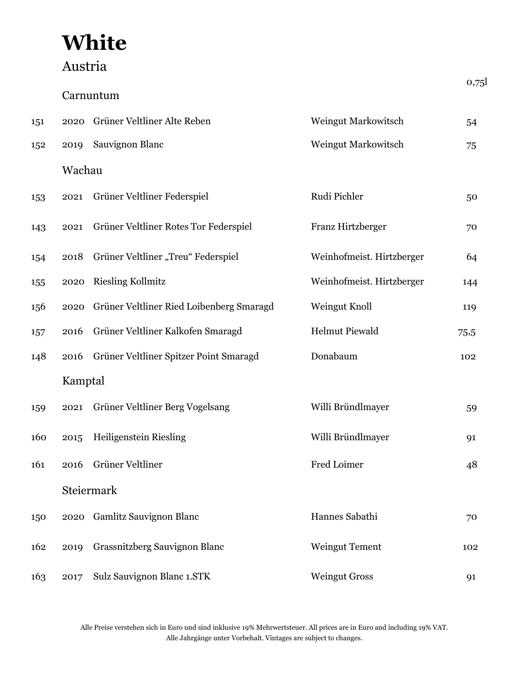## Austria

|     |         |                                          |                            | 0,75 |
|-----|---------|------------------------------------------|----------------------------|------|
|     |         | Carnuntum                                |                            |      |
| 151 | 2020    | Grüner Veltliner Alte Reben              | <b>Weingut Markowitsch</b> | 54   |
| 152 | 2019    | Sauvignon Blanc                          | Weingut Markowitsch        | 75   |
|     | Wachau  |                                          |                            |      |
| 153 | 2021    | Grüner Veltliner Federspiel              | Rudi Pichler               | 50   |
| 143 | 2021    | Grüner Veltliner Rotes Tor Federspiel    | Franz Hirtzberger          | 70   |
| 154 | 2018    | Grüner Veltliner "Treu" Federspiel       | Weinhofmeist. Hirtzberger  | 64   |
| 155 | 2020    | <b>Riesling Kollmitz</b>                 | Weinhofmeist. Hirtzberger  | 144  |
| 156 | 2020    | Grüner Veltliner Ried Loibenberg Smaragd | Weingut Knoll              | 119  |
| 157 | 2016    | Grüner Veltliner Kalkofen Smaragd        | <b>Helmut Piewald</b>      | 75,5 |
| 148 | 2016    | Grüner Veltliner Spitzer Point Smaragd   | Donabaum                   | 102  |
|     | Kamptal |                                          |                            |      |
| 159 | 2021    | Grüner Veltliner Berg Vogelsang          | Willi Bründlmayer          | 59   |
| 160 | 2015    | Heiligenstein Riesling                   | Willi Bründlmayer          | 91   |
| 161 |         | 2016 Grüner Veltliner                    | Fred Loimer                | 48   |
|     |         | Steiermark                               |                            |      |
| 150 |         | 2020 Gamlitz Sauvignon Blanc             | Hannes Sabathi             | 70   |
| 162 | 2019    | Grassnitzberg Sauvignon Blanc            | <b>Weingut Tement</b>      | 102  |
| 163 | 2017    | Sulz Sauvignon Blanc 1.STK               | <b>Weingut Gross</b>       | 91   |

Alle Preise verstehen sich in Euro und sind inklusive 19% Mehrwertsteuer. All prices are in Euro and including 19% VAT. Alle Jahrgänge unter Vorbehalt. Vintages are subject to changes.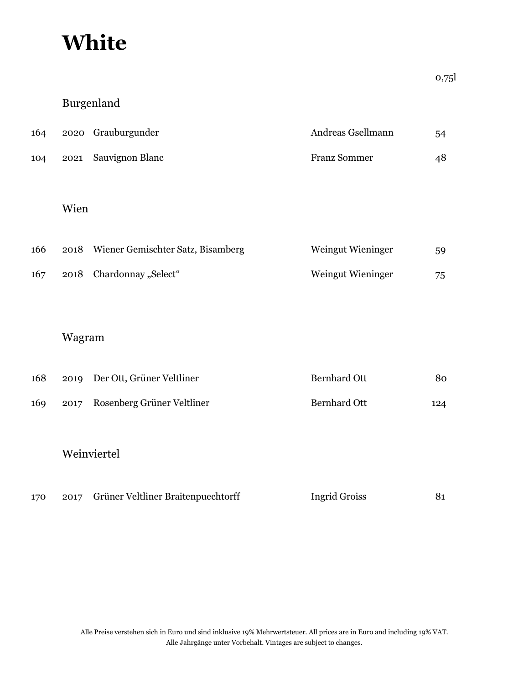### Burgenland

| 164 | 2020 Grauburgunder   | Andreas Gsellmann   | 54 |
|-----|----------------------|---------------------|----|
| 104 | 2021 Sauvignon Blanc | <b>Franz Sommer</b> | 48 |

#### Wien

| 166 | 2018 Wiener Gemischter Satz, Bisamberg | Weingut Wieninger | 59 |
|-----|----------------------------------------|-------------------|----|
| 167 | 2018 Chardonnay "Select"               | Weingut Wieninger | 75 |

### Wagram

| 168 |      | 2019 Der Ott, Grüner Veltliner | <b>Bernhard Ott</b> | 80  |
|-----|------|--------------------------------|---------------------|-----|
| 169 | 2017 | Rosenberg Grüner Veltliner     | <b>Bernhard Ott</b> | 124 |
|     |      | Weinviertel                    |                     |     |

| 170 |  | 2017 Grüner Veltliner Braitenpuechtorff | <b>Ingrid Groiss</b> |  |
|-----|--|-----------------------------------------|----------------------|--|
|-----|--|-----------------------------------------|----------------------|--|

0,75l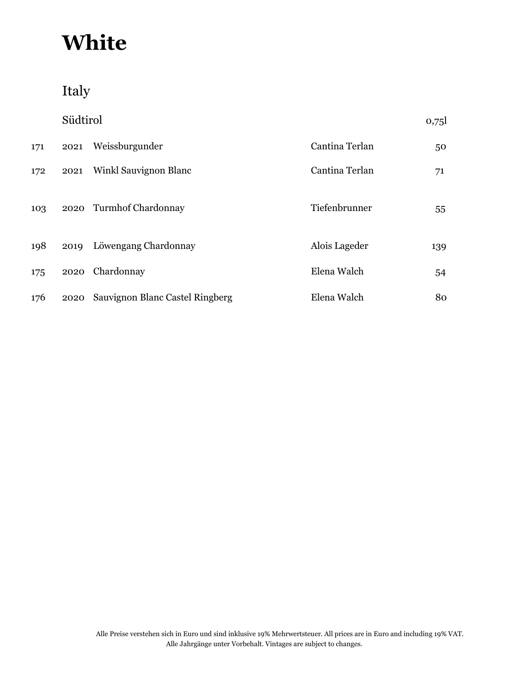Italy

|     | Südtirol |                                 |                | 0,75 |
|-----|----------|---------------------------------|----------------|------|
| 171 | 2021     | Weissburgunder                  | Cantina Terlan | 50   |
| 172 | 2021     | Winkl Sauvignon Blanc           | Cantina Terlan | 71   |
| 103 |          | 2020 Turmhof Chardonnay         | Tiefenbrunner  | 55   |
| 198 |          | 2019 Löwengang Chardonnay       | Alois Lageder  | 139  |
| 175 | 2020     | Chardonnay                      | Elena Walch    | 54   |
| 176 | 2020     | Sauvignon Blanc Castel Ringberg | Elena Walch    | 80   |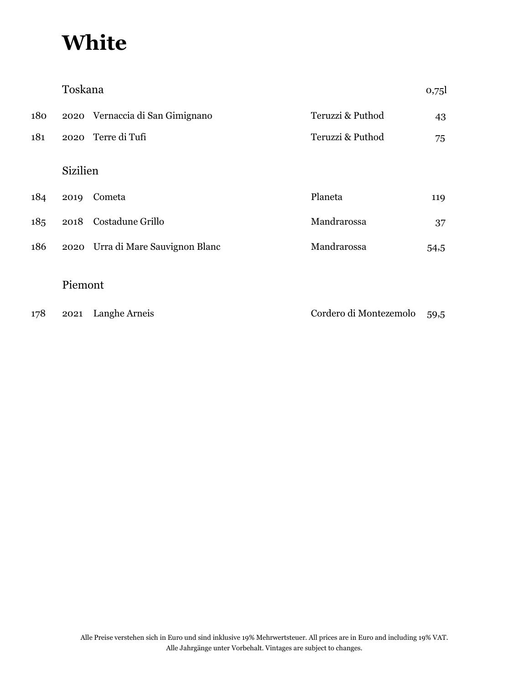|     | Toskana         |                                   |                        | 0,75 |  |
|-----|-----------------|-----------------------------------|------------------------|------|--|
| 180 |                 | 2020 Vernaccia di San Gimignano   | Teruzzi & Puthod       | 43   |  |
| 181 | 2020            | Terre di Tufi                     | Teruzzi & Puthod       | 75   |  |
|     | <b>Sizilien</b> |                                   |                        |      |  |
| 184 | 2019            | Cometa                            | Planeta                | 119  |  |
| 185 | 2018            | Costadune Grillo                  | Mandrarossa            | 37   |  |
| 186 |                 | 2020 Urra di Mare Sauvignon Blanc | Mandrarossa            | 54,5 |  |
|     | Piemont         |                                   |                        |      |  |
| 178 | 2021            | Langhe Arneis                     | Cordero di Montezemolo | 59,5 |  |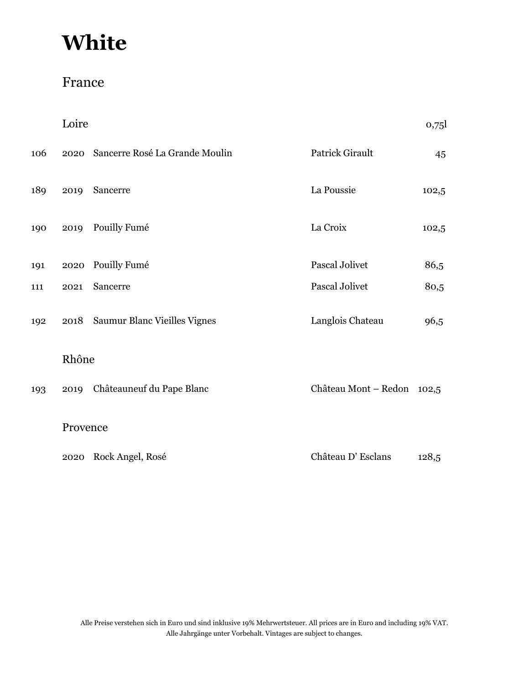### France

|     | Loire    |                                |                            | 0,75  |
|-----|----------|--------------------------------|----------------------------|-------|
| 106 | 2020     | Sancerre Rosé La Grande Moulin | Patrick Girault            | 45    |
| 189 | 2019     | Sancerre                       | La Poussie                 | 102,5 |
| 190 | 2019     | Pouilly Fumé                   | La Croix                   | 102,5 |
| 191 | 2020     | Pouilly Fumé                   | Pascal Jolivet             | 86,5  |
| 111 | 2021     | Sancerre                       | Pascal Jolivet             | 80,5  |
| 192 | 2018     | Saumur Blanc Vieilles Vignes   | Langlois Chateau           | 96,5  |
|     | Rhône    |                                |                            |       |
| 193 |          | 2019 Châteauneuf du Pape Blanc | Château Mont - Redon 102,5 |       |
|     | Provence |                                |                            |       |
|     |          | 2020 Rock Angel, Rosé          | Château D'Esclans          | 128,5 |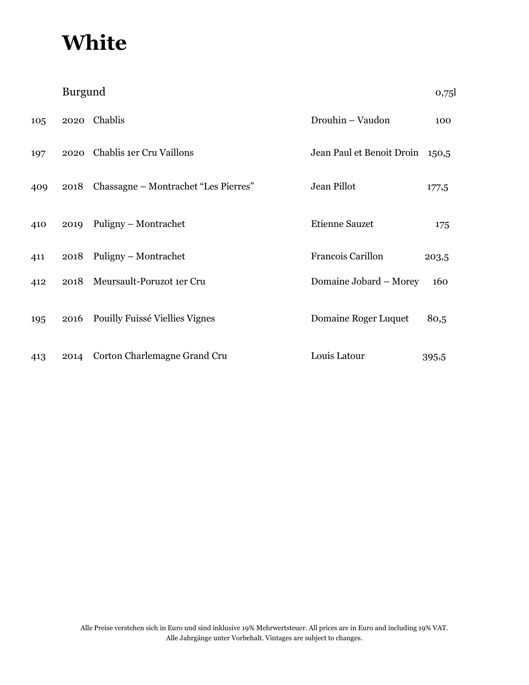|     | Burgund |                                      |                           | 0,75  |
|-----|---------|--------------------------------------|---------------------------|-------|
| 105 | 2020    | Chablis                              | Drouhin - Vaudon          | 100   |
| 197 | 2020    | Chablis 1er Cru Vaillons             | Jean Paul et Benoit Droin | 150,5 |
| 409 | 2018    | Chassagne – Montrachet "Les Pierres" | Jean Pillot               | 177,5 |
| 410 | 2019    | Puligny - Montrachet                 | <b>Etienne Sauzet</b>     | 175   |
| 411 |         | 2018 Puligny – Montrachet            | Francois Carillon         | 203,5 |
| 412 | 2018    | Meursault-Poruzot 1er Cru            | Domaine Jobard - Morey    | 160   |
| 195 | 2016    | Pouilly Fuissé Viellies Vignes       | Domaine Roger Luquet      | 80,5  |
| 413 | 2014    | Corton Charlemagne Grand Cru         | Louis Latour              | 395,5 |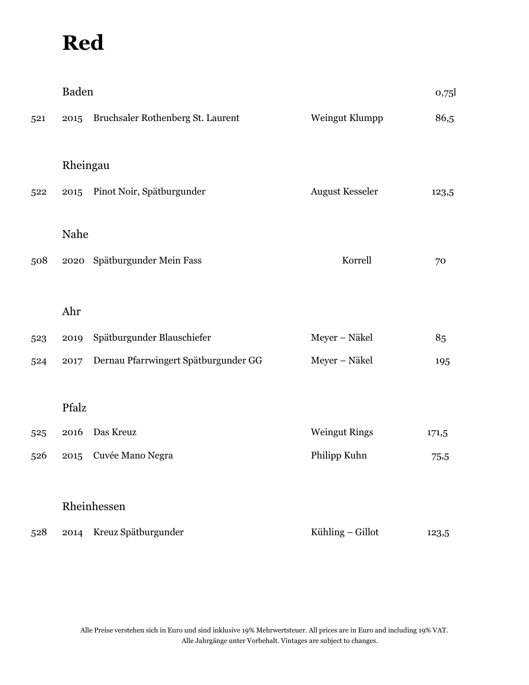|     | <b>Baden</b> |                                      |                        | 0,75  |
|-----|--------------|--------------------------------------|------------------------|-------|
| 521 | 2015         | Bruchsaler Rothenberg St. Laurent    | Weingut Klumpp         | 86,5  |
|     | Rheingau     |                                      |                        |       |
| 522 | 2015         | Pinot Noir, Spätburgunder            | <b>August Kesseler</b> | 123,5 |
|     | Nahe         |                                      |                        |       |
| 508 |              | 2020 Spätburgunder Mein Fass         | Korrell                | 70    |
|     |              |                                      |                        |       |
|     | Ahr          |                                      |                        |       |
| 523 | 2019         | Spätburgunder Blauschiefer           | Meyer - Näkel          | 85    |
| 524 | 2017         | Dernau Pfarrwingert Spätburgunder GG | Meyer - Näkel          | 195   |
|     | Pfalz        |                                      |                        |       |
|     |              |                                      |                        |       |
| 525 | 2016         | Das Kreuz                            | <b>Weingut Rings</b>   | 171,5 |
| 526 | 2015         | Cuvée Mano Negra                     | Philipp Kuhn           | 75,5  |
|     |              |                                      |                        |       |
|     |              | Rheinhessen                          |                        |       |
| 528 | 2014         | Kreuz Spätburgunder                  | Kühling - Gillot       | 123,5 |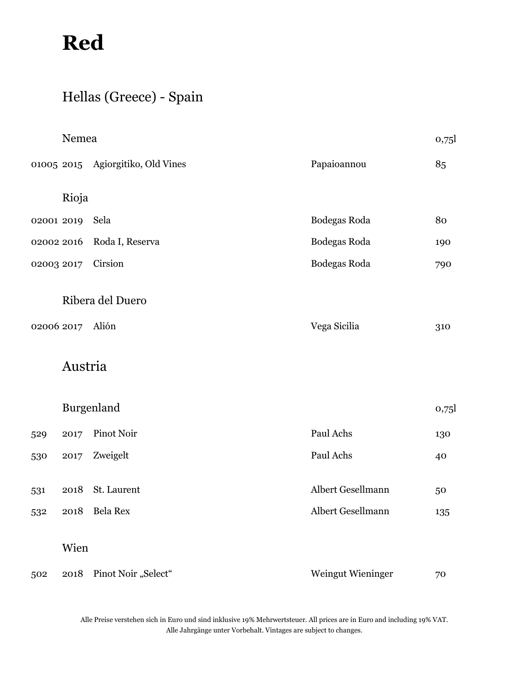## Hellas (Greece) - Spain

|            | Nemea            |                                   |                   | 0,75 |
|------------|------------------|-----------------------------------|-------------------|------|
|            |                  | 01005 2015 Agiorgitiko, Old Vines | Papaioannou       | 85   |
|            | Rioja            |                                   |                   |      |
| 02001 2019 |                  | Sela                              | Bodegas Roda      | 80   |
| 02002 2016 |                  | Roda I, Reserva                   | Bodegas Roda      | 190  |
| 02003 2017 |                  | Cirsion                           | Bodegas Roda      | 790  |
|            |                  | Ribera del Duero                  |                   |      |
|            | 02006 2017 Alión |                                   | Vega Sicilia      | 310  |
|            | Austria          |                                   |                   |      |
|            |                  | Burgenland                        |                   | 0,75 |
| 529        | 2017             | Pinot Noir                        | Paul Achs         | 130  |
| 530        | 2017             | Zweigelt                          | Paul Achs         | 40   |
| 531        | 2018             | St. Laurent                       | Albert Gesellmann | 50   |
| 532        | 2018             | Bela Rex                          | Albert Gesellmann | 135  |
|            | Wien             |                                   |                   |      |
| 502        |                  | 2018 Pinot Noir "Select"          | Weingut Wieninger | 70   |

Alle Preise verstehen sich in Euro und sind inklusive 19% Mehrwertsteuer. All prices are in Euro and including 19% VAT. Alle Jahrgänge unter Vorbehalt. Vintages are subject to changes.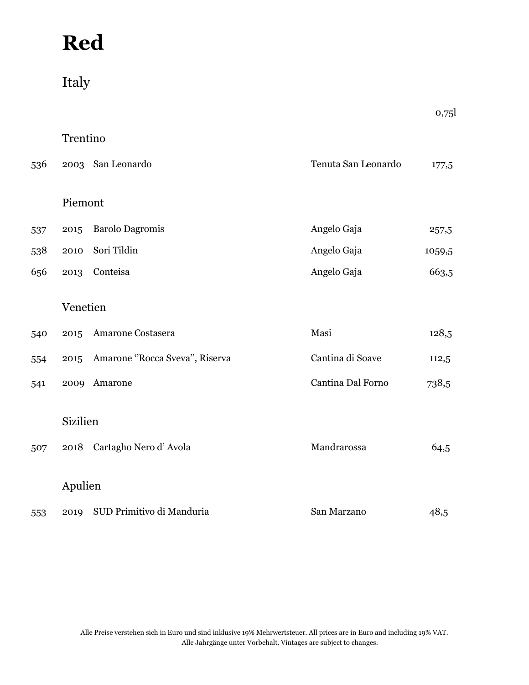## Italy

|     |                  |                                |                     | 0,75   |
|-----|------------------|--------------------------------|---------------------|--------|
|     | Trentino         |                                |                     |        |
| 536 | 2003             | San Leonardo                   | Tenuta San Leonardo | 177,5  |
|     | Piemont          |                                |                     |        |
| 537 | 2015             | <b>Barolo Dagromis</b>         | Angelo Gaja         | 257,5  |
| 538 | 2010             | Sori Tildin                    | Angelo Gaja         | 1059,5 |
| 656 | 2013             | Conteisa                       | Angelo Gaja         | 663,5  |
|     | Venetien         |                                |                     |        |
| 540 | 2015             | Amarone Costasera              | Masi                | 128,5  |
| 554 | 2015             | Amarone "Rocca Sveva", Riserva | Cantina di Soave    | 112,5  |
| 541 | 2009             | Amarone                        | Cantina Dal Forno   | 738,5  |
| 507 | Sizilien<br>2018 | Cartagho Nero d'Avola          | Mandrarossa         | 64,5   |
|     |                  |                                |                     |        |
|     | Apulien          |                                |                     |        |
| 553 | 2019             | SUD Primitivo di Manduria      | San Marzano         | 48,5   |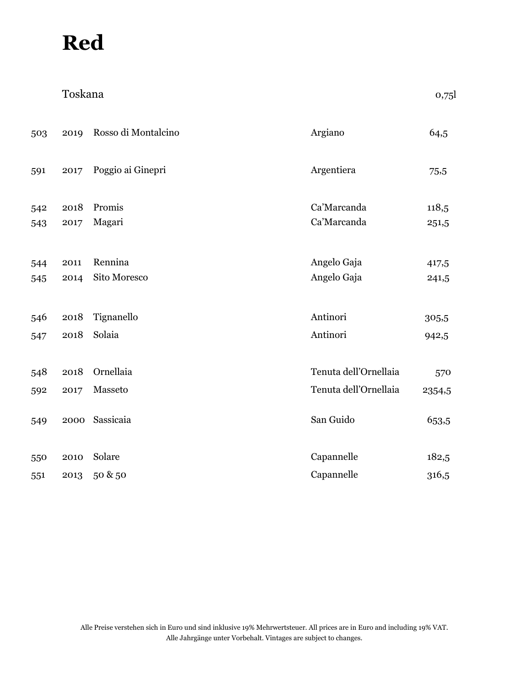|     | Toskana |                     |                       | 0,75   |
|-----|---------|---------------------|-----------------------|--------|
| 503 | 2019    | Rosso di Montalcino | Argiano               | 64,5   |
| 591 | 2017    | Poggio ai Ginepri   | Argentiera            | 75,5   |
| 542 | 2018    | Promis              | Ca'Marcanda           | 118,5  |
| 543 | 2017    | Magari              | Ca'Marcanda           | 251,5  |
| 544 | 2011    | Rennina             | Angelo Gaja           | 417,5  |
| 545 | 2014    | Sito Moresco        | Angelo Gaja           | 241,5  |
| 546 | 2018    | Tignanello          | Antinori              | 305,5  |
| 547 | 2018    | Solaia              | Antinori              | 942,5  |
| 548 | 2018    | Ornellaia           | Tenuta dell'Ornellaia | 570    |
| 592 | 2017    | Masseto             | Tenuta dell'Ornellaia | 2354,5 |
| 549 | 2000    | Sassicaia           | San Guido             | 653,5  |
|     |         |                     |                       |        |
| 550 | 2010    | Solare              | Capannelle            | 182,5  |
| 551 | 2013    | 50 & 50             | Capannelle            | 316,5  |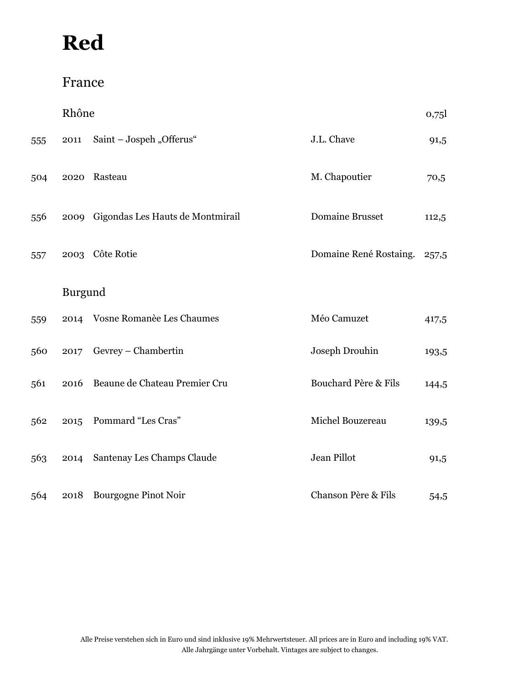## France

|     | Rhône   |                                       |                        | 0,75  |
|-----|---------|---------------------------------------|------------------------|-------|
| 555 | 2011    | Saint - Jospeh "Offerus"              | J.L. Chave             | 91,5  |
| 504 |         | 2020 Rasteau                          | M. Chapoutier          | 70,5  |
| 556 |         | 2009 Gigondas Les Hauts de Montmirail | <b>Domaine Brusset</b> | 112,5 |
| 557 |         | 2003 Côte Rotie                       | Domaine René Rostaing. | 257,5 |
|     | Burgund |                                       |                        |       |
| 559 |         | 2014 Vosne Romanèe Les Chaumes        | Méo Camuzet            | 417,5 |
| 560 | 2017    | Gevrey - Chambertin                   | Joseph Drouhin         | 193,5 |
| 561 | 2016    | Beaune de Chateau Premier Cru         | Bouchard Père & Fils   | 144,5 |
| 562 | 2015    | Pommard "Les Cras"                    | Michel Bouzereau       | 139,5 |
| 563 | 2014    | Santenay Les Champs Claude            | Jean Pillot            | 91,5  |
| 564 |         | 2018 Bourgogne Pinot Noir             | Chanson Père & Fils    | 54,5  |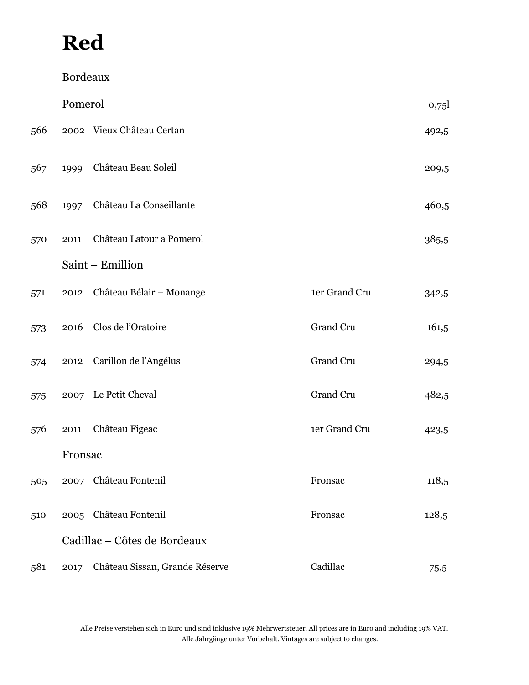|     | Bordeaux |                                |               |       |
|-----|----------|--------------------------------|---------------|-------|
|     | Pomerol  |                                |               | 0,75  |
| 566 |          | 2002 Vieux Château Certan      |               | 492,5 |
| 567 | 1999     | Château Beau Soleil            |               | 209,5 |
| 568 | 1997     | Château La Conseillante        |               | 460,5 |
| 570 | 2011     | Château Latour a Pomerol       |               | 385,5 |
|     |          | Saint - Emillion               |               |       |
| 571 | 2012     | Château Bélair - Monange       | 1er Grand Cru | 342,5 |
| 573 | 2016     | Clos de l'Oratoire             | Grand Cru     | 161,5 |
| 574 | 2012     | Carillon de l'Angélus          | Grand Cru     | 294,5 |
| 575 |          | 2007 Le Petit Cheval           | Grand Cru     | 482,5 |
| 576 | 2011     | Château Figeac                 | 1er Grand Cru | 423,5 |
|     | Fronsac  |                                |               |       |
| 505 |          | 2007 Château Fontenil          | Fronsac       | 118,5 |
| 510 |          | 2005 Château Fontenil          | Fronsac       | 128,5 |
|     |          | Cadillac - Côtes de Bordeaux   |               |       |
| 581 | 2017     | Château Sissan, Grande Réserve | Cadillac      | 75,5  |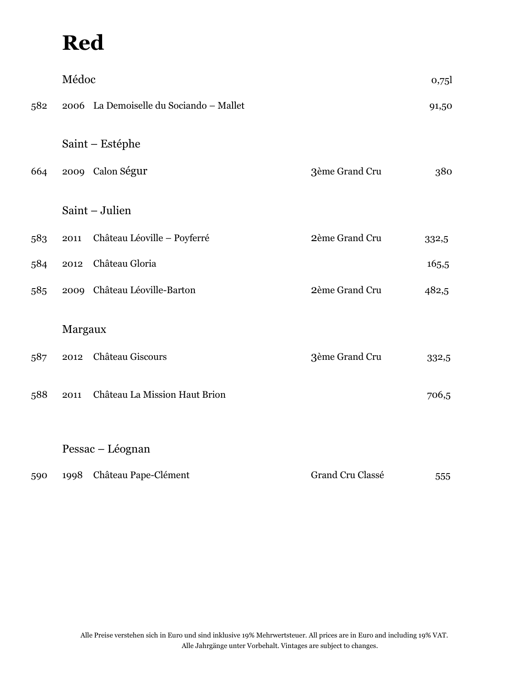|     | Médoc   |                                         |                  | 0,75  |
|-----|---------|-----------------------------------------|------------------|-------|
| 582 |         | 2006 La Demoiselle du Sociando - Mallet |                  | 91,50 |
|     |         | Saint – Estéphe                         |                  |       |
| 664 |         | 2009 Calon Ségur                        | 3ème Grand Cru   | 380   |
|     |         | Saint - Julien                          |                  |       |
| 583 | 2011    | Château Léoville - Poyferré             | 2ème Grand Cru   | 332,5 |
| 584 | 2012    | Château Gloria                          |                  | 165,5 |
| 585 |         | 2009 Château Léoville-Barton            | 2ème Grand Cru   | 482,5 |
|     | Margaux |                                         |                  |       |
| 587 | 2012    | Château Giscours                        | 3ème Grand Cru   | 332,5 |
| 588 | 2011    | Château La Mission Haut Brion           |                  | 706,5 |
|     |         |                                         |                  |       |
|     |         | Pessac - Léognan                        |                  |       |
| 590 | 1998    | Château Pape-Clément                    | Grand Cru Classé | 555   |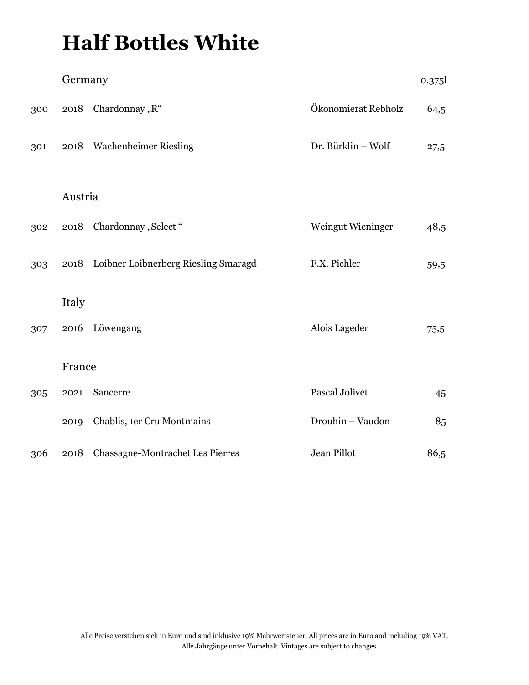# **Half Bottles White**

|     | Germany |                                           |                       | 0,375 |
|-----|---------|-------------------------------------------|-----------------------|-------|
| 300 | 2018    | Chardonnay "R"                            | Ökonomierat Rebholz   | 64,5  |
| 301 |         | 2018 Wachenheimer Riesling                | Dr. Bürklin - Wolf    | 27,5  |
|     |         |                                           |                       |       |
|     | Austria |                                           |                       |       |
| 302 |         | 2018 Chardonnay "Select"                  | Weingut Wieninger     | 48,5  |
| 303 |         | 2018 Loibner Loibnerberg Riesling Smaragd | F.X. Pichler          | 59,5  |
|     | Italy   |                                           |                       |       |
| 307 | 2016    | Löwengang                                 | Alois Lageder         | 75,5  |
|     | France  |                                           |                       |       |
| 305 | 2021    | Sancerre                                  | <b>Pascal Jolivet</b> | 45    |
|     | 2019    | Chablis, 1er Cru Montmains                | Drouhin - Vaudon      | 85    |
| 306 | 2018    | <b>Chassagne-Montrachet Les Pierres</b>   | Jean Pillot           | 86,5  |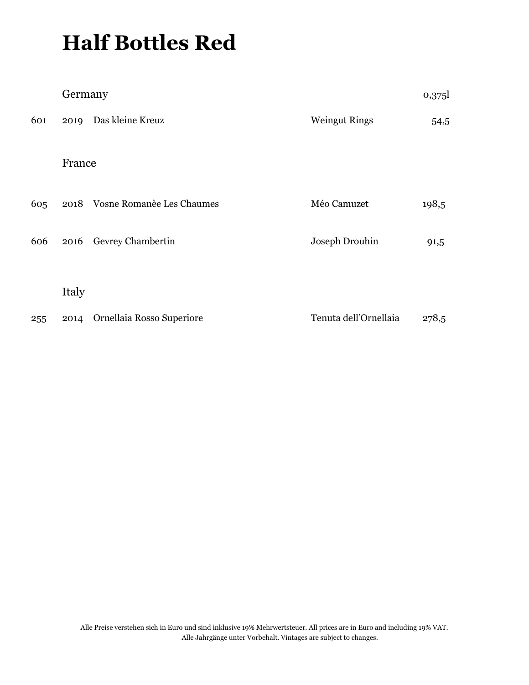# **Half Bottles Red**

|     | Germany |                                |                       | 0,375 |
|-----|---------|--------------------------------|-----------------------|-------|
| 601 |         | 2019 Das kleine Kreuz          | <b>Weingut Rings</b>  | 54,5  |
|     | France  |                                |                       |       |
| 605 |         | 2018 Vosne Romanèe Les Chaumes | Méo Camuzet           | 198,5 |
| 606 | 2016    | Gevrey Chambertin              | Joseph Drouhin        | 91,5  |
|     | Italy   |                                |                       |       |
| 255 | 2014    | Ornellaia Rosso Superiore      | Tenuta dell'Ornellaia | 278,5 |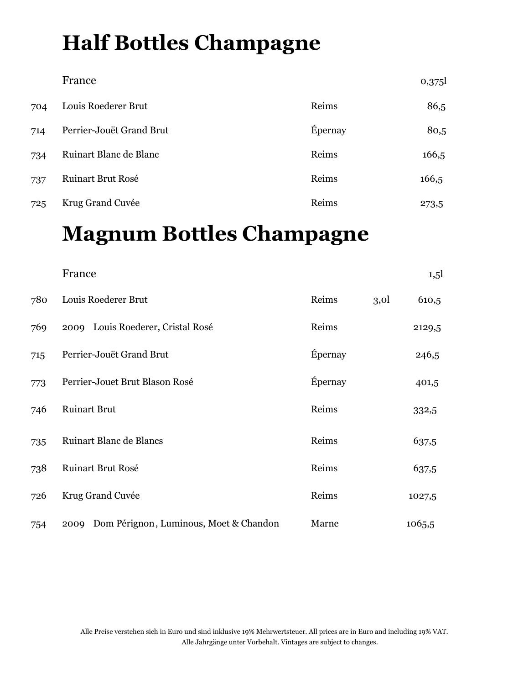# **Half Bottles Champagne**

|     | France                   |         | 0,375 |
|-----|--------------------------|---------|-------|
| 704 | Louis Roederer Brut      | Reims   | 86,5  |
| 714 | Perrier-Jouët Grand Brut | Épernay | 80,5  |
| 734 | Ruinart Blanc de Blanc   | Reims   | 166,5 |
| 737 | <b>Ruinart Brut Rosé</b> | Reims   | 166,5 |
| 725 | Krug Grand Cuvée         | Reims   | 273,5 |

# **Magnum Bottles Champagne**

|     | France                                      |         |                  | 1,5    |
|-----|---------------------------------------------|---------|------------------|--------|
| 780 | Louis Roederer Brut                         | Reims   | 3,0 <sup>1</sup> | 610,5  |
| 769 | 2009 Louis Roederer, Cristal Rosé           | Reims   |                  | 2129,5 |
| 715 | Perrier-Jouët Grand Brut                    | Épernay |                  | 246,5  |
| 773 | Perrier-Jouet Brut Blason Rosé              | Épernay |                  | 401,5  |
| 746 | <b>Ruinart Brut</b>                         | Reims   |                  | 332,5  |
| 735 | Ruinart Blanc de Blancs                     | Reims   |                  | 637,5  |
| 738 | Ruinart Brut Rosé                           | Reims   |                  | 637,5  |
| 726 | Krug Grand Cuvée                            | Reims   |                  | 1027,5 |
| 754 | 2009 Dom Pérignon, Luminous, Moet & Chandon | Marne   |                  | 1065,5 |

Alle Preise verstehen sich in Euro und sind inklusive 19% Mehrwertsteuer. All prices are in Euro and including 19% VAT. Alle Jahrgänge unter Vorbehalt. Vintages are subject to changes.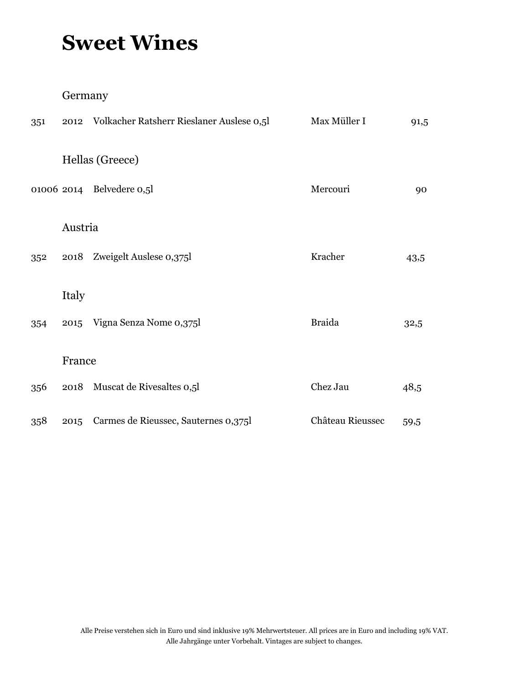## **Sweet Wines**

### Germany

| 351 | 2012    | Volkacher Ratsherr Rieslaner Auslese 0,51 | Max Müller I     | 91,5 |
|-----|---------|-------------------------------------------|------------------|------|
|     |         | Hellas (Greece)                           |                  |      |
|     |         | 01006 2014 Belvedere 0,5l                 | Mercouri         | 90   |
|     | Austria |                                           |                  |      |
| 352 | 2018    | Zweigelt Auslese 0,375l                   | Kracher          | 43,5 |
|     | Italy   |                                           |                  |      |
| 354 | 2015    | Vigna Senza Nome 0,375l                   | <b>Braida</b>    | 32,5 |
|     | France  |                                           |                  |      |
| 356 | 2018    | Muscat de Rivesaltes 0,51                 | Chez Jau         | 48,5 |
| 358 | 2015    | Carmes de Rieussec, Sauternes 0,375l      | Château Rieussec | 59,5 |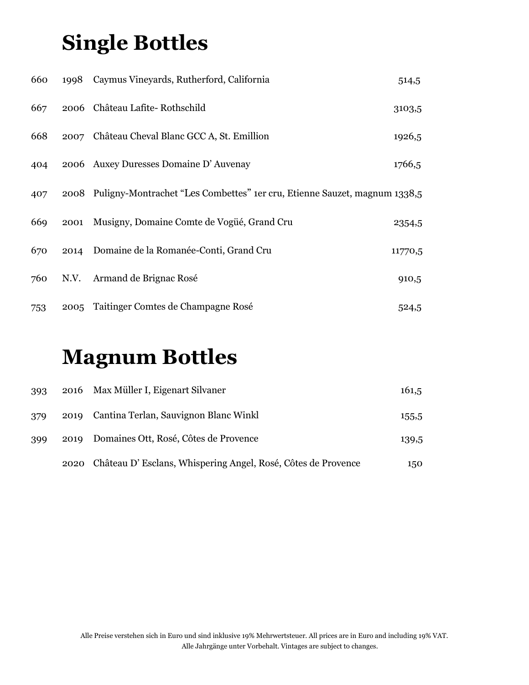# **Single Bottles**

| 660 |      | 1998 Caymus Vineyards, Rutherford, California                                  | 514,5   |
|-----|------|--------------------------------------------------------------------------------|---------|
| 667 |      | 2006 Château Lafite-Rothschild                                                 | 3103,5  |
| 668 |      | 2007 Château Cheval Blanc GCC A, St. Emillion                                  | 1926,5  |
| 404 |      | 2006 Auxey Duresses Domaine D'Auvenay                                          | 1766,5  |
| 407 |      | 2008 Puligny-Montrachet "Les Combettes" 1er cru, Etienne Sauzet, magnum 1338,5 |         |
| 669 | 2001 | Musigny, Domaine Comte de Vogüé, Grand Cru                                     | 2354,5  |
| 670 |      | 2014 Domaine de la Romanée-Conti, Grand Cru                                    | 11770,5 |
| 760 | N.V. | Armand de Brignac Rosé                                                         | 910,5   |
| 753 |      | 2005 Taitinger Comtes de Champagne Rosé                                        | 524,5   |

## **Magnum Bottles**

| 393 |      | 2016 Max Müller I, Eigenart Silvaner                         | 161,5 |
|-----|------|--------------------------------------------------------------|-------|
| 379 |      | 2019 Cantina Terlan, Sauvignon Blanc Winkl                   | 155,5 |
| 399 |      | 2019 Domaines Ott, Rosé, Côtes de Provence                   | 139,5 |
|     | 2020 | Château D'Esclans, Whispering Angel, Rosé, Côtes de Provence | 150   |